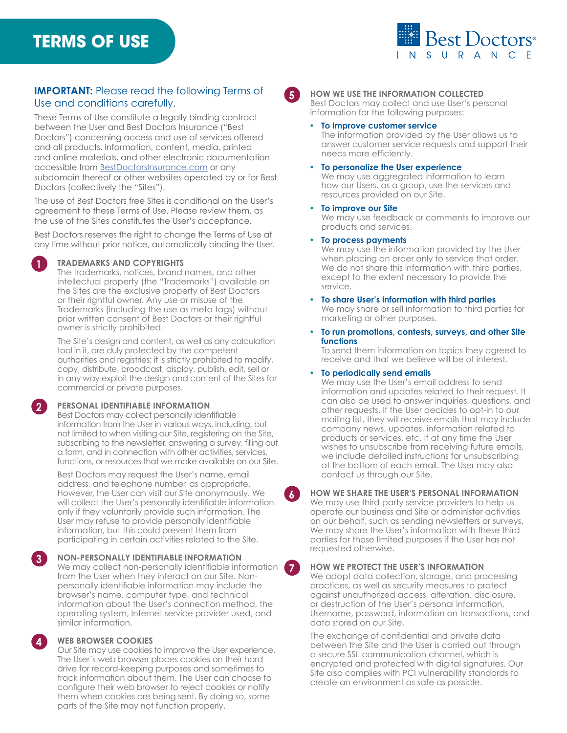# **TERMS OF USE**



# **IMPORTANT:** Please read the following Terms of Use and conditions carefully.

These Terms of Use constitute a legally binding contract between the User and Best Doctors Insurance ("Best Doctors") concerning access and use of services offered and all products, information, content, media, printed and online materials, and other electronic documentation accessible from [BestDoctorsInsurance.com](http://BestDoctorsInsurance.com) or any subdomain thereof or other websites operated by or for Best Doctors (collectively the "Sites").

The use of Best Doctors free Sites is conditional on the User's agreement to these Terms of Use. Please review them, as the use of the Sites constitutes the User's acceptance.

Best Doctors reserves the right to change the Terms of Use at any time without prior notice, automatically binding the User.

# **1 TRADEMARKS AND COPYRIGHTS**

The trademarks, notices, brand names, and other intellectual property (the "Trademarks") available on the Sites are the exclusive property of Best Doctors or their rightful owner. Any use or misuse of the Trademarks (including the use as meta tags) without prior written consent of Best Doctors or their rightful owner is strictly prohibited.

The Site's design and content, as well as any calculation tool in it, are duly protected by the competent authorities and registries; it is strictly prohibited to modify, copy, distribute, broadcast, display, publish, edit, sell or in any way exploit the design and content of the Sites for commercial or private purposes.

# **2 PERSONAL IDENTIFIABLE INFORMATION**

Best Doctors may collect personally identifiable information from the User in various ways, including, but not limited to when visiting our Site, registering on the Site, subscribing to the newsletter, answering a survey, filling out a form, and in connection with other activities, services, functions, or resources that we make available on our Site.

Best Doctors may request the User's name, email address, and telephone number, as appropriate. However, the User can visit our Site anonymously. We will collect the User's personally identifiable information only if they voluntarily provide such information. The User may refuse to provide personally identifiable information, but this could prevent them from participating in certain activities related to the Site.

**3 NON-PERSONALLY IDENTIFIABLE INFORMATION** We may collect non-personally identifiable information from the User when they interact on our Site. Nonpersonally identifiable information may include the browser's name, computer type, and technical information about the User's connection method, the operating system, Internet service provider used, and similar information.

# **4 WEB BROWSER COOKIES**

Our Site may use cookies to improve the User experience. The User's web browser places cookies on their hard drive for record-keeping purposes and sometimes to track information about them. The User can choose to configure their web browser to reject cookies or notify them when cookies are being sent. By doing so, some parts of the Site may not function properly.

# **5 HOW WE USE THE INFORMATION COLLECTED**

Best Doctors may collect and use User's personal information for the following purposes:

#### **• To improve customer service**

The information provided by the User allows us to answer customer service requests and support their needs more efficiently.

#### **• To personalize the User experience**

We may use aggregated information to learn how our Users, as a group, use the services and resources provided on our Site.

#### **• To improve our Site**

We may use feedback or comments to improve our products and services.

#### **• To process payments**

We may use the information provided by the User when placing an order only to service that order. We do not share this information with third parties, except to the extent necessary to provide the service.

- **• To share User's information with third parties** We may share or sell information to third parties for marketing or other purposes.
- **• To run promotions, contests, surveys, and other Site functions**

To send them information on topics they agreed to receive and that we believe will be of interest.

#### **• To periodically send emails**

We may use the User's email address to send information and updates related to their request. It can also be used to answer inquiries, questions, and other requests. If the User decides to opt-in to our mailing list, they will receive emails that may include company news, updates, information related to products or services, etc. If at any time the User wishes to unsubscribe from receiving future emails, we include detailed instructions for unsubscribing at the bottom of each email. The User may also contact us through our Site.

#### **6 HOW WE SHARE THE USER'S PERSONAL INFORMATION**

We may use third-party service providers to help us operate our business and Site or administer activities on our behalf, such as sending newsletters or surveys. We may share the User's information with these third parties for those limited purposes if the User has not requested otherwise.

# **7 HOW WE PROTECT THE USER'S INFORMATION**

We adopt data collection, storage, and processing practices, as well as security measures to protect against unauthorized access, alteration, disclosure, or destruction of the User's personal information, Username, password, information on transactions, and data stored on our Site.

The exchange of confidential and private data between the Site and the User is carried out through a secure SSL communication channel, which is encrypted and protected with digital signatures. Our Site also complies with PCI vulnerability standards to create an environment as safe as possible.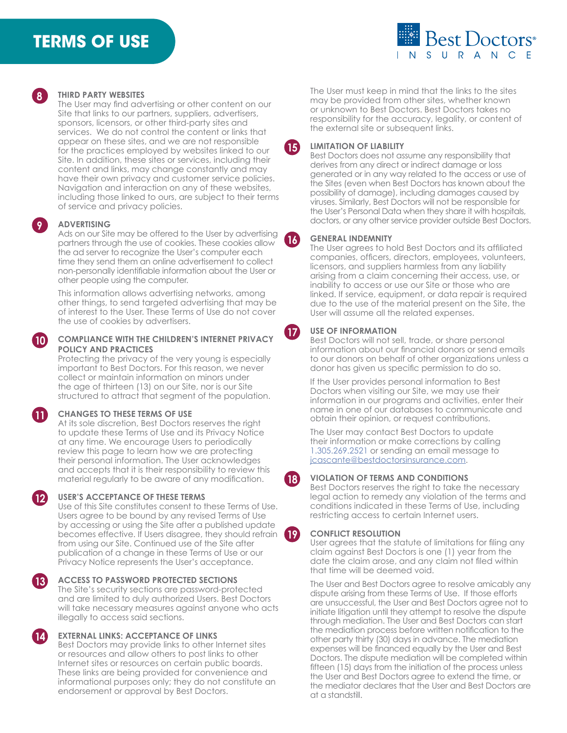# **TERMS OF USE**





# **8 THIRD PARTY WEBSITES**

The User may find advertising or other content on our Site that links to our partners, suppliers, advertisers, sponsors, licensors, or other third-party sites and services. We do not control the content or links that appear on these sites, and we are not responsible for the practices employed by websites linked to our Site. In addition, these sites or services, including their content and links, may change constantly and may have their own privacy and customer service policies. Navigation and interaction on any of these websites, including those linked to ours, are subject to their terms of service and privacy policies.

#### **9 ADVERTISING**

Ads on our Site may be offered to the User by advertising partners through the use of cookies. These cookies allow the ad server to recognize the User's computer each time they send them an online advertisement to collect non-personally identifiable information about the User or other people using the computer.

This information allows advertising networks, among other things, to send targeted advertising that may be of interest to the User. These Terms of Use do not cover the use of cookies by advertisers.

## **10 COMPLIANCE WITH THE CHILDREN'S INTERNET PRIVACY POLICY AND PRACTICES**

Protecting the privacy of the very young is especially important to Best Doctors. For this reason, we never collect or maintain information on minors under the age of thirteen (13) on our Site, nor is our Site structured to attract that segment of the population.

# **11 CHANGES TO THESE TERMS OF USE**

At its sole discretion, Best Doctors reserves the right to update these Terms of Use and its Privacy Notice at any time. We encourage Users to periodically review this page to learn how we are protecting their personal information. The User acknowledges and accepts that it is their responsibility to review this material regularly to be aware of any modification.

#### **12 USER'S ACCEPTANCE OF THESE TERMS**

Use of this Site constitutes consent to these Terms of Use. Users agree to be bound by any revised Terms of Use by accessing or using the Site after a published update becomes effective. If Users disagree, they should refrain from using our Site. Continued use of the Site after publication of a change in these Terms of Use or our Privacy Notice represents the User's acceptance.

#### **13 ACCESS TO PASSWORD PROTECTED SECTIONS**  The Site's security sections are password-protected and are limited to duly authorized Users. Best Doctors will take necessary measures against anyone who acts illegally to access said sections.

**EXTERNAL LINKS: ACCEPTANCE OF LINKS** 

Best Doctors may provide links to other Internet sites or resources and allow others to post links to other Internet sites or resources on certain public boards. These links are being provided for convenience and informational purposes only; they do not constitute an endorsement or approval by Best Doctors.

The User must keep in mind that the links to the sites may be provided from other sites, whether known or unknown to Best Doctors. Best Doctors takes no responsibility for the accuracy, legality, or content of the external site or subsequent links.

#### **15 LIMITATION OF LIABILITY**

Best Doctors does not assume any responsibility that derives from any direct or indirect damage or loss generated or in any way related to the access or use of the Sites (even when Best Doctors has known about the possibility of damage), including damages caused by viruses. Similarly, Best Doctors will not be responsible for the User's Personal Data when they share it with hospitals, doctors, or any other service provider outside Best Doctors.

### **16 GENERAL INDEMNITY**

The User agrees to hold Best Doctors and its affiliated companies, officers, directors, employees, volunteers, licensors, and suppliers harmless from any liability arising from a claim concerning their access, use, or inability to access or use our Site or those who are linked. If service, equipment, or data repair is required due to the use of the material present on the Site, the User will assume all the related expenses.

### **17 USE OF INFORMATION**

Best Doctors will not sell, trade, or share personal information about our financial donors or send emails to our donors on behalf of other organizations unless a donor has given us specific permission to do so.

If the User provides personal information to Best Doctors when visiting our Site, we may use their information in our programs and activities, enter their name in one of our databases to communicate and obtain their opinion, or request contributions.

The User may contact Best Doctors to update their information or make corrections by calling [1.305.269.2521](tel:13052692521) or sending an email message to [jcascante@bestdoctorsinsurance.com](mailto:jcascante@bestdoctorsinsurance.com).

# **18 VIOLATION OF TERMS AND CONDITIONS**

Best Doctors reserves the right to take the necessary legal action to remedy any violation of the terms and conditions indicated in these Terms of Use, including restricting access to certain Internet users.

# **19 CONFLICT RESOLUTION**

User agrees that the statute of limitations for filing any claim against Best Doctors is one (1) year from the date the claim arose, and any claim not filed within that time will be deemed void.

The User and Best Doctors agree to resolve amicably any dispute arising from these Terms of Use. If those efforts are unsuccessful, the User and Best Doctors agree not to initiate litigation until they attempt to resolve the dispute through mediation. The User and Best Doctors can start the mediation process before written notification to the other party thirty (30) days in advance. The mediation expenses will be financed equally by the User and Best Doctors. The dispute mediation will be completed within fifteen (15) days from the initiation of the process unless the User and Best Doctors agree to extend the time, or the mediator declares that the User and Best Doctors are at a standstill.